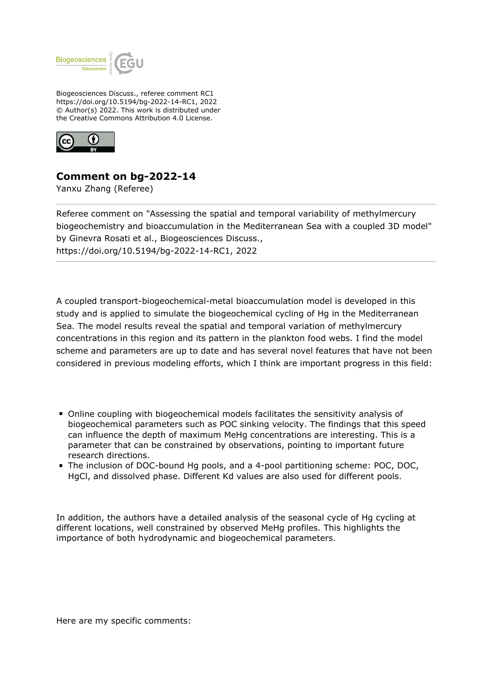

Biogeosciences Discuss., referee comment RC1 https://doi.org/10.5194/bg-2022-14-RC1, 2022 © Author(s) 2022. This work is distributed under the Creative Commons Attribution 4.0 License.



## **Comment on bg-2022-14**

Yanxu Zhang (Referee)

Referee comment on "Assessing the spatial and temporal variability of methylmercury biogeochemistry and bioaccumulation in the Mediterranean Sea with a coupled 3D model" by Ginevra Rosati et al., Biogeosciences Discuss., https://doi.org/10.5194/bg-2022-14-RC1, 2022

A coupled transport-biogeochemical-metal bioaccumulation model is developed in this study and is applied to simulate the biogeochemical cycling of Hg in the Mediterranean Sea. The model results reveal the spatial and temporal variation of methylmercury concentrations in this region and its pattern in the plankton food webs. I find the model scheme and parameters are up to date and has several novel features that have not been considered in previous modeling efforts, which I think are important progress in this field:

- Online coupling with biogeochemical models facilitates the sensitivity analysis of biogeochemical parameters such as POC sinking velocity. The findings that this speed can influence the depth of maximum MeHg concentrations are interesting. This is a parameter that can be constrained by observations, pointing to important future research directions.
- The inclusion of DOC-bound Hg pools, and a 4-pool partitioning scheme: POC, DOC, HgCl, and dissolved phase. Different Kd values are also used for different pools.

In addition, the authors have a detailed analysis of the seasonal cycle of Hg cycling at different locations, well constrained by observed MeHg profiles. This highlights the importance of both hydrodynamic and biogeochemical parameters.

Here are my specific comments: